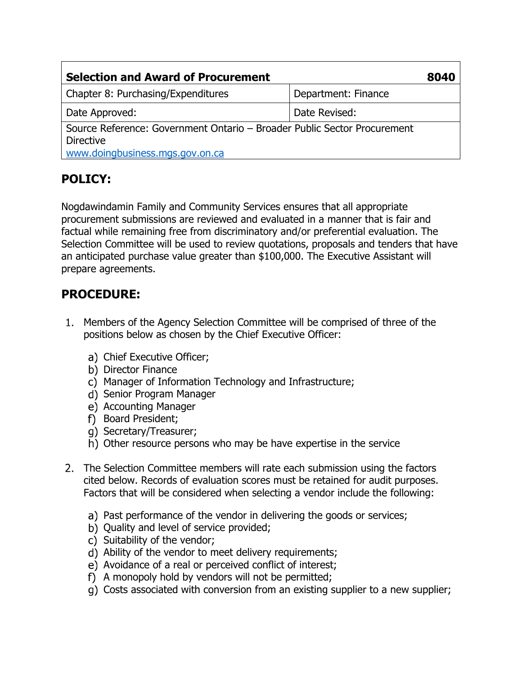| <b>Selection and Award of Procurement</b>                                                                                       |                     | 8040 |
|---------------------------------------------------------------------------------------------------------------------------------|---------------------|------|
| Chapter 8: Purchasing/Expenditures                                                                                              | Department: Finance |      |
| Date Approved:                                                                                                                  | Date Revised:       |      |
| Source Reference: Government Ontario - Broader Public Sector Procurement<br><b>Directive</b><br>www.doingbusiness.mgs.gov.on.ca |                     |      |

## **POLICY:**

Nogdawindamin Family and Community Services ensures that all appropriate procurement submissions are reviewed and evaluated in a manner that is fair and factual while remaining free from discriminatory and/or preferential evaluation. The Selection Committee will be used to review quotations, proposals and tenders that have an anticipated purchase value greater than \$100,000. The Executive Assistant will prepare agreements.

## **PROCEDURE:**

- Members of the Agency Selection Committee will be comprised of three of the positions below as chosen by the Chief Executive Officer:
	- a) Chief Executive Officer;
	- b) Director Finance
	- c) Manager of Information Technology and Infrastructure;
	- d) Senior Program Manager
	- e) Accounting Manager
	- f) Board President;
	- g) Secretary/Treasurer;
	- h) Other resource persons who may be have expertise in the service
- 2. The Selection Committee members will rate each submission using the factors cited below. Records of evaluation scores must be retained for audit purposes. Factors that will be considered when selecting a vendor include the following:
	- a) Past performance of the vendor in delivering the goods or services;
	- b) Ouality and level of service provided;
	- c) Suitability of the vendor;
	- Ability of the vendor to meet delivery requirements;
	- e) Avoidance of a real or perceived conflict of interest;
	- A monopoly hold by vendors will not be permitted;
	- g) Costs associated with conversion from an existing supplier to a new supplier;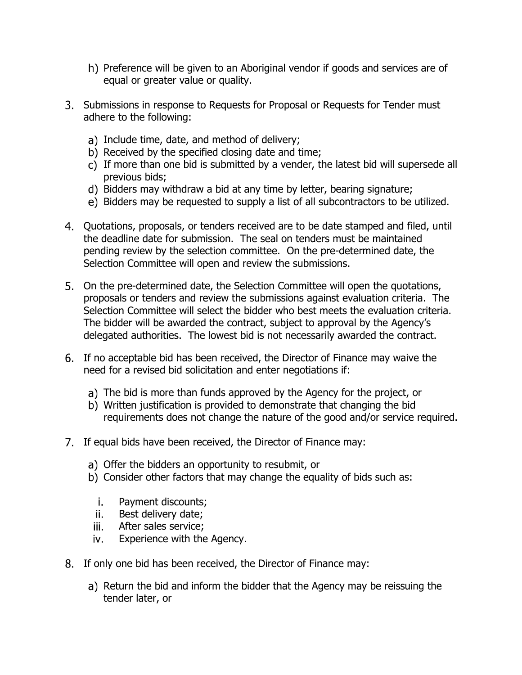- h) Preference will be given to an Aboriginal vendor if goods and services are of equal or greater value or quality.
- Submissions in response to Requests for Proposal or Requests for Tender must adhere to the following:
	- a) Include time, date, and method of delivery;
	- b) Received by the specified closing date and time;
	- $\overrightarrow{c}$ ) If more than one bid is submitted by a vender, the latest bid will supersede all previous bids;
	- d) Bidders may withdraw a bid at any time by letter, bearing signature;
	- e) Bidders may be requested to supply a list of all subcontractors to be utilized.
- Quotations, proposals, or tenders received are to be date stamped and filed, until the deadline date for submission. The seal on tenders must be maintained pending review by the selection committee. On the pre-determined date, the Selection Committee will open and review the submissions.
- On the pre-determined date, the Selection Committee will open the quotations, proposals or tenders and review the submissions against evaluation criteria. The Selection Committee will select the bidder who best meets the evaluation criteria. The bidder will be awarded the contract, subject to approval by the Agency's delegated authorities. The lowest bid is not necessarily awarded the contract.
- If no acceptable bid has been received, the Director of Finance may waive the need for a revised bid solicitation and enter negotiations if:
	- a) The bid is more than funds approved by the Agency for the project, or
	- Written justification is provided to demonstrate that changing the bid requirements does not change the nature of the good and/or service required.
- 7. If equal bids have been received, the Director of Finance may:
	- a) Offer the bidders an opportunity to resubmit, or
	- b) Consider other factors that may change the equality of bids such as:
		- Payment discounts; j.
		- ii. Best delivery date;
	- iii. After sales service;
	- iv. Experience with the Agency.
- 8. If only one bid has been received, the Director of Finance may:
	- a) Return the bid and inform the bidder that the Agency may be reissuing the tender later, or